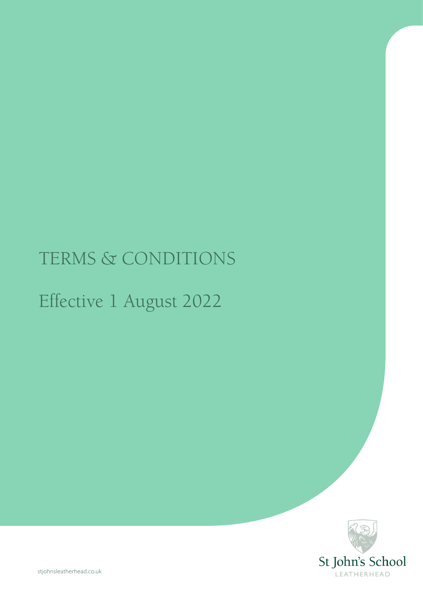# TERMS & CONDITIONS

# Effective 1 August 2022

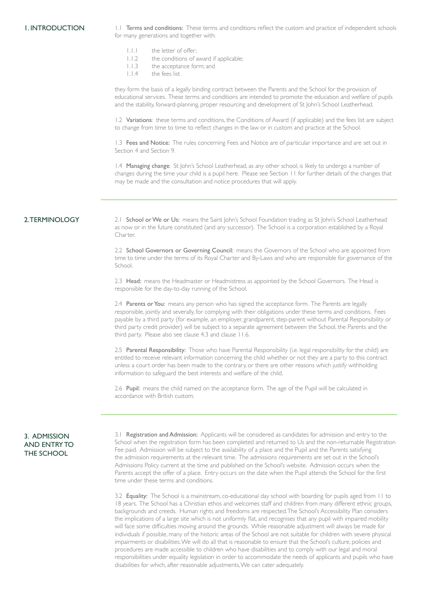1. INTRODUCTION 1.1 Terms and conditions: These terms and conditions reflect the custom and practice of independent schools for many generations and together with:

- 1.1.1 the letter of offer;<br>1.1.2 the conditions of a
- the conditions of award if applicable;
- 1.1.3 the acceptance form; and
- 1.1.4 the fees list

they form the basis of a legally binding contract between the Parents and the School for the provision of educational services. These terms and conditions are intended to promote the education and welfare of pupils and the stability, forward-planning, proper resourcing and development of St John's School Leatherhead.

1.2 Variations: these terms and conditions, the Conditions of Award (if applicable) and the fees list are subject to change from time to time to reflect changes in the law or in custom and practice at the School.

1.3 Fees and Notice: The rules concerning Fees and Notice are of particular importance and are set out in Section 4 and Section 9.

1.4 Managing change: St John's School Leatherhead, as any other school, is likely to undergo a number of changes during the time your child is a pupil here. Please see Section 11 for further details of the changes that may be made and the consultation and notice procedures that will apply.

#### 2. TERMINOLOGY

2.1 School or We or Us: means the Saint John's School Foundation trading as St John's School Leatherhead as now or in the future constituted (and any successor). The School is a corporation established by a Royal Charter.

2.2 School Governors or Governing Council: means the Governors of the School who are appointed from time to time under the terms of its Royal Charter and By-Laws and who are responsible for governance of the School.

2.3 Head: means the Headmaster or Headmistress as appointed by the School Governors. The Head is responsible for the day-to-day running of the School.

2.4 Parents or You: means any person who has signed the acceptance form. The Parents are legally responsible, jointly and severally, for complying with their obligations under these terms and conditions. Fees payable by a third party (for example, an employer, grandparent, step-parent without Parental Responsibility or third party credit provider) will be subject to a separate agreement between the School, the Parents and the third party. Please also see clause 4.3 and clause 11.6.

2.5 Parental Responsibility: Those who have Parental Responsibility (i.e. legal responsibility for the child) are entitled to receive relevant information concerning the child whether or not they are a party to this contract unless a court order has been made to the contrary, or there are other reasons which justify withholding information to safeguard the best interests and welfare of the child.

2.6 Pupil: means the child named on the acceptance form. The age of the Pupil will be calculated in accordance with British custom.

## 3. ADMISSION AND ENTRY TO THE SCHOOL

3.1 Registration and Admission: Applicants will be considered as candidates for admission and entry to the School when the registration form has been completed and returned to Us and the non-returnable Registration Fee paid. Admission will be subject to the availability of a place and the Pupil and the Parents satisfying the admission requirements at the relevant time. The admissions requirements are set out in the School's Admissions Policy current at the time and published on the School's website. Admission occurs when the Parents accept the offer of a place. Entry occurs on the date when the Pupil attends the School for the first time under these terms and conditions.

3.2 Equality: The School is a mainstream, co-educational day school with boarding for pupils aged from 11 to 18 years. The School has a Christian ethos and welcomes staff and children from many different ethnic groups, backgrounds and creeds. Human rights and freedoms are respected. The School's Accessibility Plan considers the implications of a large site which is not uniformly flat, and recognises that any pupil with impaired mobility will face some difficulties moving around the grounds. While reasonable adjustment will always be made for individuals if possible, many of the historic areas of the School are not suitable for children with severe physical impairments or disabilities. We will do all that is reasonable to ensure that the School's culture, policies and procedures are made accessible to children who have disabilities and to comply with our legal and moral responsibilities under equality legislation in order to accommodate the needs of applicants and pupils who have disabilities for which, after reasonable adjustments, We can cater adequately.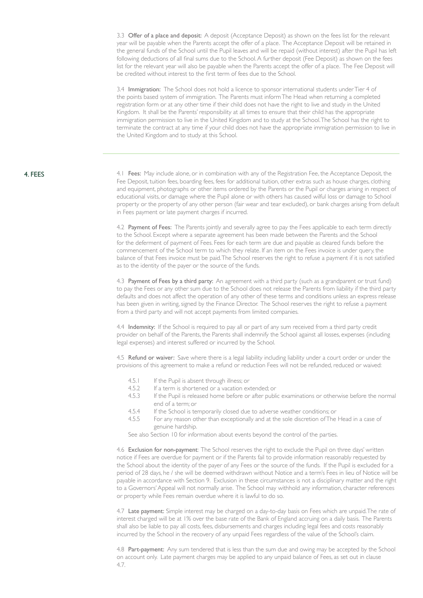3.3 Offer of a place and deposit: A deposit (Acceptance Deposit) as shown on the fees list for the relevant year will be payable when the Parents accept the offer of a place. The Acceptance Deposit will be retained in the general funds of the School until the Pupil leaves and will be repaid (without interest) after the Pupil has left following deductions of all final sums due to the School. A further deposit (Fee Deposit) as shown on the fees list for the relevant year will also be payable when the Parents accept the offer of a place. The Fee Deposit will be credited without interest to the first term of fees due to the School.

3.4 Immigration: The School does not hold a licence to sponsor international students under Tier 4 of the points based system of immigration. The Parents must inform The Head when returning a completed registration form or at any other time if their child does not have the right to live and study in the United Kingdom. It shall be the Parents' responsibility at all times to ensure that their child has the appropriate immigration permission to live in the United Kingdom and to study at the School. The School has the right to terminate the contract at any time if your child does not have the appropriate immigration permission to live in the United Kingdom and to study at this School.

# 4. FEES

4.1 Fees: May include alone, or in combination with any of the Registration Fee, the Acceptance Deposit, the Fee Deposit, tuition fees, boarding fees, fees for additional tuition, other extras such as house charges, clothing and equipment, photographs or other items ordered by the Parents or the Pupil or charges arising in respect of educational visits, or damage where the Pupil alone or with others has caused wilful loss or damage to School property or the property of any other person (fair wear and tear excluded), or bank charges arising from default in Fees payment or late payment charges if incurred.

4.2 Payment of Fees: The Parents jointly and severally agree to pay the Fees applicable to each term directly to the School. Except where a separate agreement has been made between the Parents and the School for the deferment of payment of Fees. Fees for each term are due and payable as cleared funds before the commencement of the School term to which they relate. If an item on the Fees invoice is under query, the balance of that Fees invoice must be paid. The School reserves the right to refuse a payment if it is not satisfied as to the identity of the payer or the source of the funds.

4.3 Payment of Fees by a third party: An agreement with a third party (such as a grandparent or trust fund) to pay the Fees or any other sum due to the School does not release the Parents from liability if the third party defaults and does not affect the operation of any other of these terms and conditions unless an express release has been given in writing, signed by the Finance Director. The School reserves the right to refuse a payment from a third party and will not accept payments from limited companies.

4.4 Indemnity: If the School is required to pay all or part of any sum received from a third party credit provider on behalf of the Parents, the Parents shall indemnify the School against all losses, expenses (including legal expenses) and interest suffered or incurred by the School.

4.5 Refund or waiver: Save where there is a legal liability including liability under a court order or under the provisions of this agreement to make a refund or reduction Fees will not be refunded, reduced or waived:

- 
- 4.5.1 If the Pupil is absent through illness; or<br>452 If a term is shortened or a vacation ex-If a term is shortened or a vacation extended; or
- 4.5.3 If the Pupil is released home before or after public examinations or otherwise before the normal end of a term; or
- 4.5.4 If the School is temporarily closed due to adverse weather conditions; or
- 4.5.5 For any reason other than exceptionally and at the sole discretion of The Head in a case of genuine hardship.

See also Section 10 for information about events beyond the control of the parties.

4.6 Exclusion for non-payment: The School reserves the right to exclude the Pupil on three days' written notice if Fees are overdue for payment or if the Parents fail to provide information reasonably requested by the School about the identity of the payer of any Fees or the source of the funds. If the Pupil is excluded for a period of 28 days, he / she will be deemed withdrawn without Notice and a term's Fees in lieu of Notice will be payable in accordance with Section 9. Exclusion in these circumstances is not a disciplinary matter and the right to a Governors' Appeal will not normally arise. The School may withhold any information, character references or property while Fees remain overdue where it is lawful to do so.

4.7 Late payment: Simple interest may be charged on a day-to-day basis on Fees which are unpaid. The rate of interest charged will be at 1% over the base rate of the Bank of England accruing on a daily basis. The Parents shall also be liable to pay all costs, fees, disbursements and charges including legal fees and costs reasonably incurred by the School in the recovery of any unpaid Fees regardless of the value of the School's claim.

4.8 Part-payment: Any sum tendered that is less than the sum due and owing may be accepted by the School on account only. Late payment charges may be applied to any unpaid balance of Fees, as set out in clause 4.7.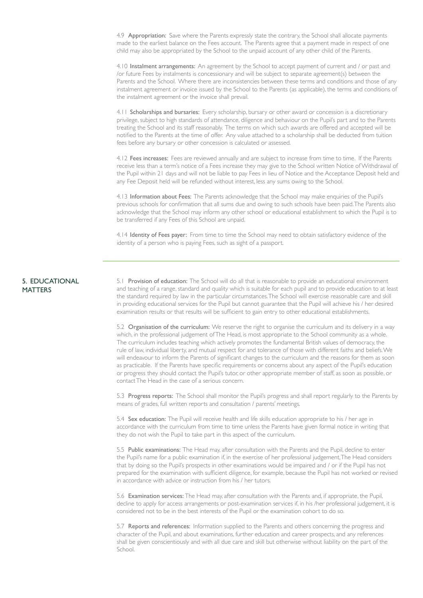4.9 Appropriation: Save where the Parents expressly state the contrary, the School shall allocate payments made to the earliest balance on the Fees account. The Parents agree that a payment made in respect of one child may also be appropriated by the School to the unpaid account of any other child of the Parents.

4.10 Instalment arrangements: An agreement by the School to accept payment of current and / or past and /or future Fees by instalments is concessionary and will be subject to separate agreement(s) between the Parents and the School. Where there are inconsistencies between these terms and conditions and those of any instalment agreement or invoice issued by the School to the Parents (as applicable), the terms and conditions of the instalment agreement or the invoice shall prevail.

4.11 Scholarships and bursaries: Every scholarship, bursary or other award or concession is a discretionary privilege, subject to high standards of attendance, diligence and behaviour on the Pupil's part and to the Parents treating the School and its staff reasonably. The terms on which such awards are offered and accepted will be notified to the Parents at the time of offer. Any value attached to a scholarship shall be deducted from tuition fees before any bursary or other concession is calculated or assessed.

4.12 Fees increases: Fees are reviewed annually and are subject to increase from time to time. If the Parents receive less than a term's notice of a Fees increase they may give to the School written Notice of Withdrawal of the Pupil within 21 days and will not be liable to pay Fees in lieu of Notice and the Acceptance Deposit held and any Fee Deposit held will be refunded without interest, less any sums owing to the School.

4.13 Information about Fees: The Parents acknowledge that the School may make enquiries of the Pupil's previous schools for confirmation that all sums due and owing to such schools have been paid. The Parents also acknowledge that the School may inform any other school or educational establishment to which the Pupil is to be transferred if any Fees of this School are unpaid.

4.14 Identity of Fees payer: From time to time the School may need to obtain satisfactory evidence of the identity of a person who is paying Fees, such as sight of a passport.

#### 5. EDUCATIONAL **MATTERS**

5.1 Provision of education: The School will do all that is reasonable to provide an educational environment and teaching of a range, standard and quality which is suitable for each pupil and to provide education to at least the standard required by law in the particular circumstances. The School will exercise reasonable care and skill in providing educational services for the Pupil but cannot guarantee that the Pupil will achieve his / her desired examination results or that results will be sufficient to gain entry to other educational establishments.

5.2 Organisation of the curriculum: We reserve the right to organise the curriculum and its delivery in a way which, in the professional judgement of The Head, is most appropriate to the School community as a whole. The curriculum includes teaching which actively promotes the fundamental British values of democracy, the rule of law, individual liberty, and mutual respect for and tolerance of those with different faiths and beliefs. We will endeavour to inform the Parents of significant changes to the curriculum and the reasons for them as soon as practicable. If the Parents have specific requirements or concerns about any aspect of the Pupil's education or progress they should contact the Pupil's tutor, or other appropriate member of staff, as soon as possible, or contact The Head in the case of a serious concern.

5.3 Progress reports: The School shall monitor the Pupil's progress and shall report regularly to the Parents by means of grades, full written reports and consultation / parents' meetings.

5.4 Sex education: The Pupil will receive health and life skills education appropriate to his / her age in accordance with the curriculum from time to time unless the Parents have given formal notice in writing that they do not wish the Pupil to take part in this aspect of the curriculum.

5.5 Public examinations: The Head may, after consultation with the Parents and the Pupil, decline to enter the Pupil's name for a public examination if, in the exercise of her professional judgement, The Head considers that by doing so the Pupil's prospects in other examinations would be impaired and / or if the Pupil has not prepared for the examination with sufficient diligence, for example, because the Pupil has not worked or revised in accordance with advice or instruction from his / her tutors.

5.6 Examination services: The Head may, after consultation with the Parents and, if appropriate, the Pupil, decline to apply for access arrangements or post-examination services if, in his /her professional judgement, it is considered not to be in the best interests of the Pupil or the examination cohort to do so.

5.7 Reports and references: Information supplied to the Parents and others concerning the progress and character of the Pupil, and about examinations, further education and career prospects, and any references shall be given conscientiously and with all due care and skill but otherwise without liability on the part of the School.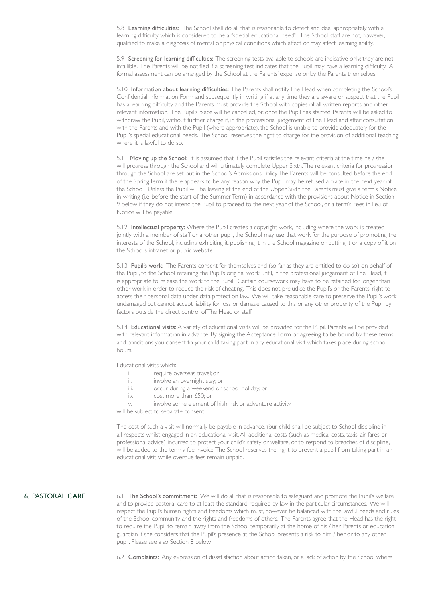5.8 Learning difficulties: The School shall do all that is reasonable to detect and deal appropriately with a learning difficulty which is considered to be a "special educational need". The School staff are not, however, qualified to make a diagnosis of mental or physical conditions which affect or may affect learning ability.

5.9 Screening for learning difficulties: The screening tests available to schools are indicative only: they are not infallible. The Parents will be notified if a screening test indicates that the Pupil may have a learning difficulty. A formal assessment can be arranged by the School at the Parents' expense or by the Parents themselves.

5.10 Information about learning difficulties: The Parents shall notify The Head when completing the School's Confidential Information Form and subsequently in writing if at any time they are aware or suspect that the Pupil has a learning difficulty and the Parents must provide the School with copies of all written reports and other relevant information. The Pupil's place will be cancelled, or, once the Pupil has started, Parents will be asked to withdraw the Pupil, without further charge if, in the professional judgement of The Head and after consultation with the Parents and with the Pupil (where appropriate), the School is unable to provide adequately for the Pupil's special educational needs. The School reserves the right to charge for the provision of additional teaching where it is lawful to do so.

5.11 Moving up the School: It is assumed that if the Pupil satisfies the relevant criteria at the time he / she will progress through the School and will ultimately complete Upper Sixth. The relevant criteria for progression through the School are set out in the School's Admissions Policy. The Parents will be consulted before the end of the Spring Term if there appears to be any reason why the Pupil may be refused a place in the next year of the School. Unless the Pupil will be leaving at the end of the Upper Sixth the Parents must give a term's Notice in writing (i.e. before the start of the Summer Term) in accordance with the provisions about Notice in Section 9 below if they do not intend the Pupil to proceed to the next year of the School, or a term's Fees in lieu of Notice will be payable.

5.12 Intellectual property: Where the Pupil creates a copyright work, including where the work is created jointly with a member of staff or another pupil, the School may use that work for the purpose of promoting the interests of the School, including exhibiting it, publishing it in the School magazine or putting it or a copy of it on the School's intranet or public website.

5.13 Pupil's work: The Parents consent for themselves and (so far as they are entitled to do so) on behalf of the Pupil, to the School retaining the Pupil's original work until, in the professional judgement of The Head, it is appropriate to release the work to the Pupil. Certain coursework may have to be retained for longer than other work in order to reduce the risk of cheating. This does not prejudice the Pupil's or the Parents' right to access their personal data under data protection law. We will take reasonable care to preserve the Pupil's work undamaged but cannot accept liability for loss or damage caused to this or any other property of the Pupil by factors outside the direct control of The Head or staff.

5.14 Educational visits: A variety of educational visits will be provided for the Pupil. Parents will be provided with relevant information in advance. By signing the Acceptance Form or agreeing to be bound by these terms and conditions you consent to your child taking part in any educational visit which takes place during school hours.

Educational visits which:

- i. require overseas travel; or
- ii. **involve an overnight stay**; or
- iii. occur during a weekend or school holiday; or
- iv. cost more than £50; or
- v. involve some element of high risk or adventure activity

will be subject to separate consent.

The cost of such a visit will normally be payable in advance. Your child shall be subject to School discipline in all respects whilst engaged in an educational visit. All additional costs (such as medical costs, taxis, air fares or professional advice) incurred to protect your child's safety or welfare, or to respond to breaches of discipline, will be added to the termly fee invoice. The School reserves the right to prevent a pupil from taking part in an educational visit while overdue fees remain unpaid.

# 6. PASTORAL CARE

6.1 The School's commitment: We will do all that is reasonable to safeguard and promote the Pupil's welfare and to provide pastoral care to at least the standard required by law in the particular circumstances. We will respect the Pupil's human rights and freedoms which must, however, be balanced with the lawful needs and rules of the School community and the rights and freedoms of others. The Parents agree that the Head has the right to require the Pupil to remain away from the School temporarily at the home of his / her Parents or education guardian if she considers that the Pupil's presence at the School presents a risk to him / her or to any other pupil. Please see also Section 8 below.

6.2 Complaints: Any expression of dissatisfaction about action taken, or a lack of action by the School where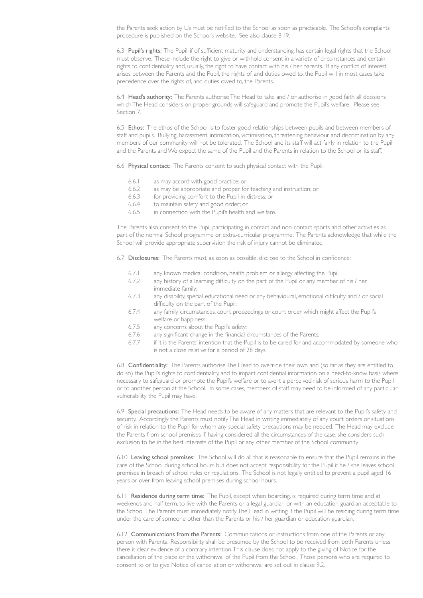the Parents seek action by Us must be notified to the School as soon as practicable. The School's complaints procedure is published on the School's website. See also clause 8.19.

6.3 Pupil's rights: The Pupil, if of sufficient maturity and understanding, has certain legal rights that the School must observe. These include the right to give or withhold consent in a variety of circumstances and certain rights to confidentiality and, usually, the right to have contact with his / her parents. If any conflict of interest arises between the Parents and the Pupil, the rights of, and duties owed to, the Pupil will in most cases take precedence over the rights of, and duties owed to, the Parents.

6.4 Head's authority: The Parents authorise The Head to take and / or authorise in good faith all decisions which The Head considers on proper grounds will safeguard and promote the Pupil's welfare. Please see Section 7.

6.5 Ethos: The ethos of the School is to foster good relationships between pupils and between members of staff and pupils. Bullying, harassment, intimidation, victimisation, threatening behaviour and discrimination by any members of our community will not be tolerated. The School and its staff will act fairly in relation to the Pupil and the Parents and We expect the same of the Pupil and the Parents in relation to the School or its staff.

6.6 Physical contact: The Parents consent to such physical contact with the Pupil:

- 6.6.1 as may accord with good practice; or
- 6.6.2 as may be appropriate and proper for teaching and instruction; or
- 6.6.3 for providing comfort to the Pupil in distress; or
- 6.6.4 to maintain safety and good order; or
- 6.6.5 in connection with the Pupil's health and welfare.

The Parents also consent to the Pupil participating in contact and non-contact sports and other activities as part of the normal School programme or extra-curricular programme. The Parents acknowledge that while the School will provide appropriate supervision the risk of injury cannot be eliminated.

6.7 Disclosures: The Parents must, as soon as possible, disclose to the School in confidence:

- 6.7.1 any known medical condition, health problem or allergy affecting the Pupil;
- 6.7.2 any history of a learning difficulty on the part of the Pupil or any member of his / her immediate family;
- 6.7.3 any disability, special educational need or any behavioural, emotional difficulty and / or social difficulty on the part of the Pupil;
- 6.7.4 any family circumstances, court proceedings or court order which might affect the Pupil's welfare or happiness;
- 6.7.5 any concerns about the Pupil's safety;
- 6.7.6 any significant change in the financial circumstances of the Parents;
- 6.7.7 if it is the Parents' intention that the Pupil is to be cared for and accommodated by someone who is not a close relative for a period of 28 days.

6.8 Confidentiality: The Parents authorise The Head to override their own and (so far as they are entitled to do so) the Pupil's rights to confidentiality, and to impart confidential information on a need-to-know basis where necessary to safeguard or promote the Pupil's welfare or to avert a perceived risk of serious harm to the Pupil or to another person at the School. In some cases, members of staff may need to be informed of any particular vulnerability the Pupil may have.

6.9 Special precautions: The Head needs to be aware of any matters that are relevant to the Pupil's safety and security. Accordingly the Parents must notify The Head in writing immediately of any court orders or situations of risk in relation to the Pupil for whom any special safety precautions may be needed. The Head may exclude the Parents from school premises if, having considered all the circumstances of the case, she considers such exclusion to be in the best interests of the Pupil or any other member of the School community.

6.10 Leaving school premises: The School will do all that is reasonable to ensure that the Pupil remains in the care of the School during school hours but does not accept responsibility for the Pupil if he / she leaves school premises in breach of school rules or regulations. The School is not legally entitled to prevent a pupil aged 16 years or over from leaving school premises during school hours.

6.11 Residence during term time: The Pupil, except when boarding, is required during term time and at weekends and half term, to live with the Parents or a legal guardian or with an education guardian acceptable to the School. The Parents must immediately notify The Head in writing if the Pupil will be residing during term time under the care of someone other than the Parents or his / her guardian or education guardian.

6.12 Communications from the Parents: Communications or instructions from one of the Parents or any person with Parental Responsibility shall be presumed by the School to be received from both Parents unless there is clear evidence of a contrary intention. This clause does not apply to the giving of Notice for the cancellation of the place or the withdrawal of the Pupil from the School. Those persons who are required to consent to or to give Notice of cancellation or withdrawal are set out in clause 9.2.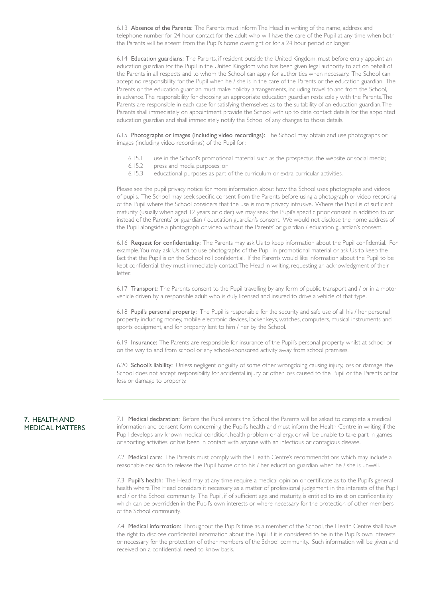6.13 Absence of the Parents: The Parents must inform The Head in writing of the name, address and telephone number for 24 hour contact for the adult who will have the care of the Pupil at any time when both the Parents will be absent from the Pupil's home overnight or for a 24 hour period or longer.

6.14 Education guardians: The Parents, if resident outside the United Kingdom, must before entry appoint an education guardian for the Pupil in the United Kingdom who has been given legal authority to act on behalf of the Parents in all respects and to whom the School can apply for authorities when necessary. The School can accept no responsibility for the Pupil when he / she is in the care of the Parents or the education guardian. The Parents or the education guardian must make holiday arrangements, including travel to and from the School, in advance. The responsibility for choosing an appropriate education guardian rests solely with the Parents. The Parents are responsible in each case for satisfying themselves as to the suitability of an education guardian. The Parents shall immediately on appointment provide the School with up to date contact details for the appointed education guardian and shall immediately notify the School of any changes to those details.

6.15 Photographs or images (including video recordings): The School may obtain and use photographs or images (including video recordings) of the Pupil for:

- 6.15.1 use in the School's promotional material such as the prospectus, the website or social media;
- 6.15.2 press and media purposes; or
- 6.15.3 educational purposes as part of the curriculum or extra-curricular activities.

Please see the pupil privacy notice for more information about how the School uses photographs and videos of pupils. The School may seek specific consent from the Parents before using a photograph or video recording of the Pupil where the School considers that the use is more privacy intrusive. Where the Pupil is of sufficient maturity (usually when aged 12 years or older) we may seek the Pupil's specific prior consent in addition to or instead of the Parents' or guardian / education guardian's consent. We would not disclose the home address of the Pupil alongside a photograph or video without the Parents' or guardian / education guardian's consent.

6.16 Request for confidentiality: The Parents may ask Us to keep information about the Pupil confidential. For example, You may ask Us not to use photographs of the Pupil in promotional material or ask Us to keep the fact that the Pupil is on the School roll confidential. If the Parents would like information about the Pupil to be kept confidential, they must immediately contact The Head in writing, requesting an acknowledgment of their letter.

6.17 Transport: The Parents consent to the Pupil travelling by any form of public transport and / or in a motor vehicle driven by a responsible adult who is duly licensed and insured to drive a vehicle of that type.

6.18 Pupil's personal property: The Pupil is responsible for the security and safe use of all his / her personal property including money, mobile electronic devices, locker keys, watches, computers, musical instruments and sports equipment, and for property lent to him / her by the School.

6.19 Insurance: The Parents are responsible for insurance of the Pupil's personal property whilst at school or on the way to and from school or any school-sponsored activity away from school premises.

6.20 School's liability: Unless negligent or guilty of some other wrongdoing causing injury, loss or damage, the School does not accept responsibility for accidental injury or other loss caused to the Pupil or the Parents or for loss or damage to property.

#### 7. HEALTH AND MEDICAL MATTERS

7.1 Medical declaration: Before the Pupil enters the School the Parents will be asked to complete a medical information and consent form concerning the Pupil's health and must inform the Health Centre in writing if the Pupil develops any known medical condition, health problem or allergy, or will be unable to take part in games or sporting activities, or has been in contact with anyone with an infectious or contagious disease.

7.2 Medical care: The Parents must comply with the Health Centre's recommendations which may include a reasonable decision to release the Pupil home or to his / her education guardian when he / she is unwell.

7.3 Pupil's health: The Head may at any time require a medical opinion or certificate as to the Pupil's general health where The Head considers it necessary as a matter of professional judgement in the interests of the Pupil and / or the School community. The Pupil, if of sufficient age and maturity, is entitled to insist on confidentiality which can be overridden in the Pupil's own interests or where necessary for the protection of other members of the School community.

7.4 Medical information: Throughout the Pupil's time as a member of the School, the Health Centre shall have the right to disclose confidential information about the Pupil if it is considered to be in the Pupil's own interests or necessary for the protection of other members of the School community. Such information will be given and received on a confidential, need-to-know basis.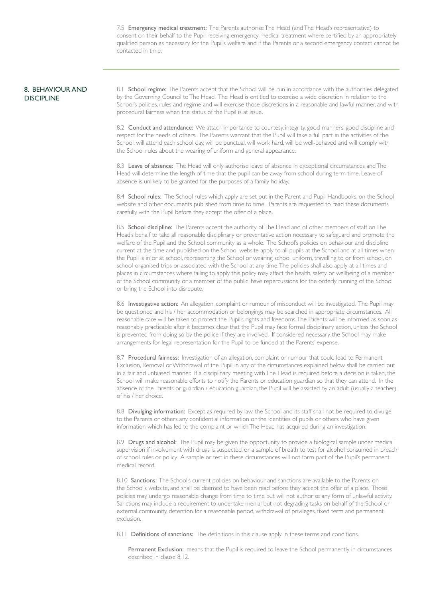7.5 Emergency medical treatment: The Parents authorise The Head (and The Head's representative) to consent on their behalf to the Pupil receiving emergency medical treatment where certified by an appropriately qualified person as necessary for the Pupil's welfare and if the Parents or a second emergency contact cannot be contacted in time.

#### 8. BEHAVIOUR AND **DISCIPLINE**

8.1 School regime: The Parents accept that the School will be run in accordance with the authorities delegated by the Governing Council to The Head. The Head is entitled to exercise a wide discretion in relation to the School's policies, rules and regime and will exercise those discretions in a reasonable and lawful manner, and with procedural fairness when the status of the Pupil is at issue.

8.2 Conduct and attendance: We attach importance to courtesy, integrity, good manners, good discipline and respect for the needs of others. The Parents warrant that the Pupil will take a full part in the activities of the School, will attend each school day, will be punctual, will work hard, will be well-behaved and will comply with the School rules about the wearing of uniform and general appearance.

8.3 Leave of absence: The Head will only authorise leave of absence in exceptional circumstances and The Head will determine the length of time that the pupil can be away from school during term time. Leave of absence is unlikely to be granted for the purposes of a family holiday.

8.4 School rules: The School rules which apply are set out in the Parent and Pupil Handbooks, on the School website and other documents published from time to time. Parents are requested to read these documents carefully with the Pupil before they accept the offer of a place.

8.5 School discipline: The Parents accept the authority of The Head and of other members of staff on The Head's behalf to take all reasonable disciplinary or preventative action necessary to safeguard and promote the welfare of the Pupil and the School community as a whole. The School's policies on behaviour and discipline current at the time and published on the School website apply to all pupils at the School and at all times when the Pupil is in or at school, representing the School or wearing school uniform, travelling to or from school, on school-organised trips or associated with the School at any time. The policies shall also apply at all times and places in circumstances where failing to apply this policy may affect the health, safety or wellbeing of a member of the School community or a member of the public, have repercussions for the orderly running of the School or bring the School into disrepute.

8.6 Investigative action: An allegation, complaint or rumour of misconduct will be investigated. The Pupil may be questioned and his / her accommodation or belongings may be searched in appropriate circumstances. All reasonable care will be taken to protect the Pupil's rights and freedoms. The Parents will be informed as soon as reasonably practicable after it becomes clear that the Pupil may face formal disciplinary action, unless the School is prevented from doing so by the police if they are involved. If considered necessary, the School may make arrangements for legal representation for the Pupil to be funded at the Parents' expense.

8.7 Procedural fairness: Investigation of an allegation, complaint or rumour that could lead to Permanent Exclusion, Removal or Withdrawal of the Pupil in any of the circumstances explained below shall be carried out in a fair and unbiased manner. If a disciplinary meeting with The Head is required before a decision is taken, the School will make reasonable efforts to notify the Parents or education guardian so that they can attend. In the absence of the Parents or guardian / education guardian, the Pupil will be assisted by an adult (usually a teacher) of his / her choice.

8.8 Divulging information: Except as required by law, the School and its staff shall not be required to divulge to the Parents or others any confidential information or the identities of pupils or others who have given information which has led to the complaint or which The Head has acquired during an investigation.

8.9 Drugs and alcohol: The Pupil may be given the opportunity to provide a biological sample under medical supervision if involvement with drugs is suspected, or a sample of breath to test for alcohol consumed in breach of school rules or policy. A sample or test in these circumstances will not form part of the Pupil's permanent medical record.

8.10 Sanctions: The School's current policies on behaviour and sanctions are available to the Parents on the School's website, and shall be deemed to have been read before they accept the offer of a place. Those policies may undergo reasonable change from time to time but will not authorise any form of unlawful activity. Sanctions may include a requirement to undertake menial but not degrading tasks on behalf of the School or external community, detention for a reasonable period, withdrawal of privileges, fixed term and permanent exclusion.

8.11 **Definitions of sanctions:** The definitions in this clause apply in these terms and conditions.

Permanent Exclusion: means that the Pupil is required to leave the School permanently in circumstances described in clause 8.12.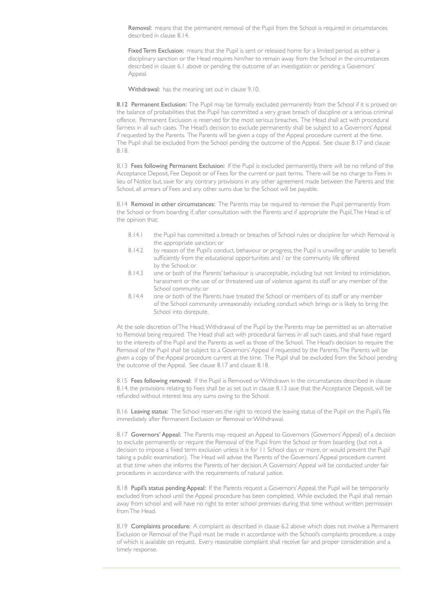Removal: means that the permanent removal of the Pupil from the School is required in circumstances described in clause 8.14.

Fixed Term Exclusion: means that the Pupil is sent or released home for a limited period as either a disciplinary sanction or the Head requires him/her to remain away from the School in the circumstances described in clause 6.1 above or pending the outcome of an investigation or pending a Governors' Appeal.

Withdrawal: has the meaning set out in clause 9.10.

8.12 Permanent Exclusion: The Pupil may be formally excluded permanently from the School if it is proved on the balance of probabilities that the Pupil has committed a very grave breach of discipline or a serious criminal offence. Permanent Exclusion is reserved for the most serious breaches. The Head shall act with procedural fairness in all such cases. The Head's decision to exclude permanently shall be subject to a Governors' Appeal if requested by the Parents. The Parents will be given a copy of the Appeal procedure current at the time. The Pupil shall be excluded from the School pending the outcome of the Appeal. See clause 8.17 and clause 8.18.

8.13 Fees following Permanent Exclusion: If the Pupil is excluded permanently, there will be no refund of the Acceptance Deposit, Fee Deposit or of Fees for the current or past terms. There will be no charge to Fees in lieu of Notice but, save for any contrary provisions in any other agreement made between the Parents and the School, all arrears of Fees and any other sums due to the School will be payable.

8.14 Removal in other circumstances: The Parents may be required to remove the Pupil permanently from the School or from boarding if, after consultation with the Parents and if appropriate the Pupil, The Head is of the opinion that:

- 8.14.1 the Pupil has committed a breach or breaches of School rules or discipline for which Removal is the appropriate sanction; or
- 8.14.2 by reason of the Pupil's conduct, behaviour or progress, the Pupil is unwilling or unable to benefit sufficiently from the educational opportunities and / or the community life offered by the School; or
- 8.14.3 one or both of the Parents' behaviour is unacceptable, including but not limited to intimidation, harassment or the use of or threatened use of violence against its staff or any member of the School community; or
- 8.14.4 one or both of the Parents have treated the School or members of its staff or any member of the School community unreasonably including conduct which brings or is likely to bring the School into disrepute.

At the sole discretion of The Head, Withdrawal of the Pupil by the Parents may be permitted as an alternative to Removal being required. The Head shall act with procedural fairness in all such cases, and shall have regard to the interests of the Pupil and the Parents as well as those of the School. The Head's decision to require the Removal of the Pupil shall be subject to a Governors' Appeal if requested by the Parents. The Parents will be given a copy of the Appeal procedure current at the time. The Pupil shall be excluded from the School pending the outcome of the Appeal. See clause 8.17 and clause 8.18.

8.15 Fees following removal: If the Pupil is Removed or Withdrawn in the circumstances described in clause 8.14, the provisions relating to Fees shall be as set out in clause 8.13 save that the Acceptance Deposit, will be refunded without interest less any sums owing to the School.

8.16 Leaving status: The School reserves the right to record the leaving status of the Pupil on the Pupil's file immediately after Permanent Exclusion or Removal or Withdrawal.

8.17 Governors' Appeal: The Parents may request an Appeal to Governors (Governors' Appeal) of a decision to exclude permanently or require the Removal of the Pupil from the School or from boarding (but not a decision to impose a fixed term exclusion unless it is for 11 School days or more, or would prevent the Pupil taking a public examination). The Head will advise the Parents of the Governors' Appeal procedure current at that time when she informs the Parents of her decision. A Governors' Appeal will be conducted under fair procedures in accordance with the requirements of natural justice.

8.18 Pupil's status pending Appeal: If the Parents request a Governors' Appeal, the Pupil will be temporarily excluded from school until the Appeal procedure has been completed. While excluded, the Pupil shall remain away from school and will have no right to enter school premises during that time without written permission from The Head.

8.19 Complaints procedure: A complaint as described in clause 6.2 above which does not involve a Permanent Exclusion or Removal of the Pupil must be made in accordance with the School's complaints procedure, a copy of which is available on request. Every reasonable complaint shall receive fair and proper consideration and a timely response.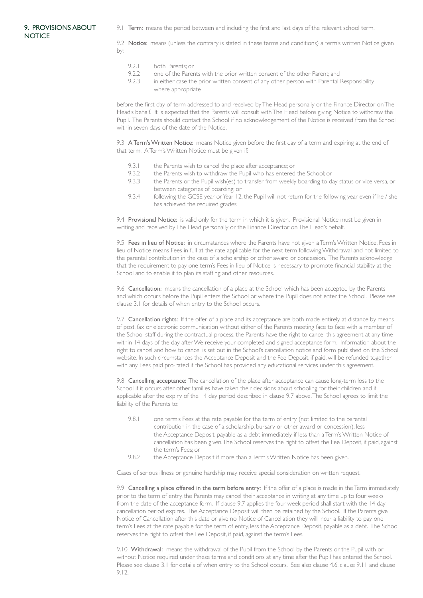## 9. PROVISIONS ABOUT **NOTICE**

9.1 Term: means the period between and including the first and last days of the relevant school term.

9.2 Notice: means (unless the contrary is stated in these terms and conditions) a term's written Notice given by:

- 9.2.1 both Parents: or
- 9.2.2 one of the Parents with the prior written consent of the other Parent; and
- 9.2.3 in either case the prior written consent of any other person with Parental Responsibility where appropriate

before the first day of term addressed to and received by The Head personally or the Finance Director on The Head's behalf. It is expected that the Parents will consult with The Head before giving Notice to withdraw the Pupil. The Parents should contact the School if no acknowledgement of the Notice is received from the School within seven days of the date of the Notice.

9.3 A Term's Written Notice: means Notice given before the first day of a term and expiring at the end of that term. A Term's Written Notice must be given if:

- 9.3.1 the Parents wish to cancel the place after acceptance; or
- 9.3.2 the Parents wish to withdraw the Pupil who has entered the School; or
- 9.3.3 the Parents or the Pupil wish(es) to transfer from weekly boarding to day status or vice versa, or between categories of boarding; or
- 9.3.4 following the GCSE year or Year 12, the Pupil will not return for the following year even if he / she has achieved the required grades.

9.4 Provisional Notice: is valid only for the term in which it is given. Provisional Notice must be given in writing and received by The Head personally or the Finance Director on The Head's behalf.

9.5 Fees in lieu of Notice: in circumstances where the Parents have not given a Term's Written Notice, Fees in lieu of Notice means Fees in full at the rate applicable for the next term following Withdrawal and not limited to the parental contribution in the case of a scholarship or other award or concession. The Parents acknowledge that the requirement to pay one term's Fees in lieu of Notice is necessary to promote financial stability at the School and to enable it to plan its staffing and other resources.

9.6 Cancellation: means the cancellation of a place at the School which has been accepted by the Parents and which occurs before the Pupil enters the School or where the Pupil does not enter the School. Please see clause 3.1 for details of when entry to the School occurs.

9.7 Cancellation rights: If the offer of a place and its acceptance are both made entirely at distance by means of post, fax or electronic communication without either of the Parents meeting face to face with a member of the School staff during the contractual process, the Parents have the right to cancel this agreement at any time within 14 days of the day after We receive your completed and signed acceptance form. Information about the right to cancel and how to cancel is set out in the School's cancellation notice and form published on the School website. In such circumstances the Acceptance Deposit and the Fee Deposit, if paid, will be refunded together with any Fees paid pro-rated if the School has provided any educational services under this agreement.

9.8 Cancelling acceptance: The cancellation of the place after acceptance can cause long-term loss to the School if it occurs after other families have taken their decisions about schooling for their children and if applicable after the expiry of the 14 day period described in clause 9.7 above. The School agrees to limit the liability of the Parents to:

- 9.8.1 one term's Fees at the rate payable for the term of entry (not limited to the parental contribution in the case of a scholarship, bursary or other award or concession), less the Acceptance Deposit, payable as a debt immediately if less than a Term's Written Notice of cancellation has been given. The School reserves the right to offset the Fee Deposit, if paid, against the term's Fees; or
- 9.8.2 the Acceptance Deposit if more than a Term's Written Notice has been given.

Cases of serious illness or genuine hardship may receive special consideration on written request.

9.9 Cancelling a place offered in the term before entry: If the offer of a place is made in the Term immediately prior to the term of entry, the Parents may cancel their acceptance in writing at any time up to four weeks from the date of the acceptance form. If clause 9.7 applies the four week period shall start with the 14 day cancellation period expires. The Acceptance Deposit will then be retained by the School. If the Parents give Notice of Cancellation after this date or give no Notice of Cancellation they will incur a liability to pay one term's Fees at the rate payable for the term of entry, less the Acceptance Deposit, payable as a debt. The School reserves the right to offset the Fee Deposit, if paid, against the term's Fees.

9.10 Withdrawal: means the withdrawal of the Pupil from the School by the Parents or the Pupil with or without Notice required under these terms and conditions at any time after the Pupil has entered the School. Please see clause 3.1 for details of when entry to the School occurs. See also clause 4.6, clause 9.11 and clause 9.12.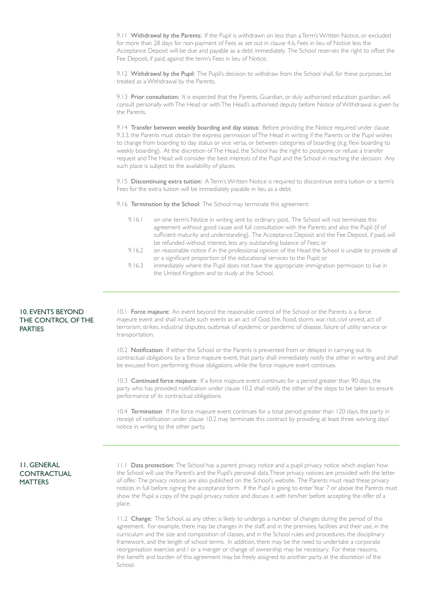9.11 Withdrawal by the Parents: If the Pupil is withdrawn on less than a Term's Written Notice, or excluded for more than 28 days for non-payment of Fees as set out in clause 4.6, Fees in lieu of Notice less the Acceptance Deposit will be due and payable as a debt immediately. The School reserves the right to offset the Fee Deposit, if paid, against the term's Fees in lieu of Notice.

9.12 Withdrawal by the Pupil: The Pupil's decision to withdraw from the School shall, for these purposes, be treated as a Withdrawal by the Parents.

9.13 Prior consultation: It is expected that the Parents, Guardian, or duly authorised education guardian, will consult personally with The Head or with The Head's authorised deputy before Notice of Withdrawal is given by the Parents.

9.14 Transfer between weekly boarding and day status: Before providing the Notice required under clause 9.3.3, the Parents must obtain the express permission of The Head in writing if the Parents or the Pupil wishes to change from boarding to day status or vice versa, or between categories of boarding (e.g. flexi boarding to weekly boarding). At the discretion of The Head, the School has the right to postpone or refuse a transfer request and The Head will consider the best interests of the Pupil and the School in reaching the decision. Any such place is subject to the availability of places.

9.15 Discontinuing extra tuition: A Term's Written Notice is required to discontinue extra tuition or a term's Fees for the extra tuition will be immediately payable in lieu as a debt.

9.16 Termination by the School: The School may terminate this agreement:

- 9.16.1 on one term's Notice in writing sent by ordinary post. The School will not terminate this agreement without good cause and full consultation with the Parents and also the Pupil (if of sufficient maturity and understanding). The Acceptance Deposit and the Fee Deposit, if paid, will be refunded without interest, less any outstanding balance of Fees; or
- 9.16.2 on reasonable notice if in the professional opinion of the Head the School is unable to provide all or a significant proportion of the educational services to the Pupil; or
- 9.16.3 immediately where the Pupil does not have the appropriate immigration permission to live in the United Kingdom and to study at the School.

# 10. EVENTS BEYOND THE CONTROL OF THE PARTIES

10.1 Force majeure: An event beyond the reasonable control of the School or the Parents is a force majeure event and shall include such events as an act of God, fire, flood, storm, war, riot, civil unrest, act of terrorism, strikes, industrial disputes, outbreak of epidemic or pandemic of disease, failure of utility service or transportation.

10.2 Notification: If either the School or the Parents is prevented from or delayed in carrying out its contractual obligations by a force majeure event, that party shall immediately notify the other in writing and shall be excused from performing those obligations while the force majeure event continues.

10.3 Continued force majeure: If a force majeure event continues for a period greater than 90 days, the party who has provided notification under clause 10.2 shall notify the other of the steps to be taken to ensure performance of its contractual obligations.

10.4 Termination: If the force majeure event continues for a total period greater than 120 days, the party in receipt of notification under clause 10.2 may terminate this contract by providing at least three working days' notice in writing to the other party.

# 11. GENERAL **CONTRACTUAL MATTERS**

11.1 Data protection: The School has a parent privacy notice and a pupil privacy notice which explain how the School will use the Parent's and the Pupil's personal data. These privacy notices are provided with the letter of offer. The privacy notices are also published on the School's website. The Parents must read these privacy notices in full before signing the acceptance form. If the Pupil is going to enter Year 7 or above the Parents must show the Pupil a copy of the pupil privacy notice and discuss it with him/her before accepting the offer of a place.

11.2 Change: The School, as any other, is likely to undergo a number of changes during the period of this agreement. For example, there may be changes in the staff, and in the premises, facilities and their use, in the curriculum and the size and composition of classes, and in the School rules and procedures, the disciplinary framework, and the length of school terms. In addition, there may be the need to undertake a corporate reorganisation exercise and / or a merger or change of ownership may be necessary. For these reasons, the benefit and burden of this agreement may be freely assigned to another party at the discretion of the School.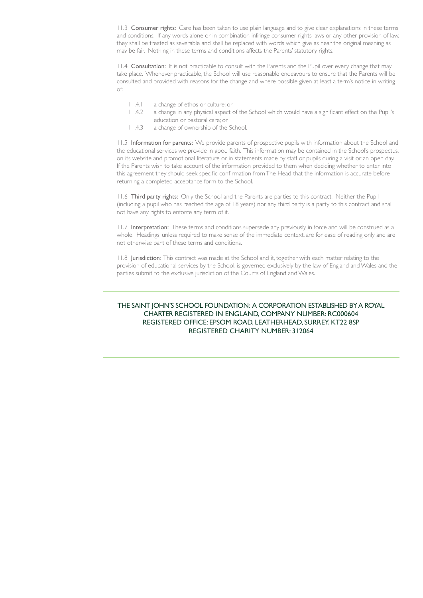11.3 Consumer rights: Care has been taken to use plain language and to give clear explanations in these terms and conditions. If any words alone or in combination infringe consumer rights laws or any other provision of law, they shall be treated as severable and shall be replaced with words which give as near the original meaning as may be fair. Nothing in these terms and conditions affects the Parents' statutory rights.

11.4 Consultation: It is not practicable to consult with the Parents and the Pupil over every change that may take place. Whenever practicable, the School will use reasonable endeavours to ensure that the Parents will be consulted and provided with reasons for the change and where possible given at least a term's notice in writing of:

- 11.4.1 a change of ethos or culture; or
- 11.4.2 a change in any physical aspect of the School which would have a significant effect on the Pupil's education or pastoral care; or
- 11.4.3 a change of ownership of the School.

11.5 Information for parents: We provide parents of prospective pupils with information about the School and the educational services we provide in good faith. This information may be contained in the School's prospectus, on its website and promotional literature or in statements made by staff or pupils during a visit or an open day. If the Parents wish to take account of the information provided to them when deciding whether to enter into this agreement they should seek specific confirmation from The Head that the information is accurate before returning a completed acceptance form to the School.

11.6 Third party rights: Only the School and the Parents are parties to this contract. Neither the Pupil (including a pupil who has reached the age of 18 years) nor any third party is a party to this contract and shall not have any rights to enforce any term of it.

11.7 Interpretation: These terms and conditions supersede any previously in force and will be construed as a whole. Headings, unless required to make sense of the immediate context, are for ease of reading only and are not otherwise part of these terms and conditions.

11.8 Jurisdiction: This contract was made at the School and it, together with each matter relating to the provision of educational services by the School, is governed exclusively by the law of England and Wales and the parties submit to the exclusive jurisdiction of the Courts of England and Wales.

# THE SAINT JOHN'S SCHOOL FOUNDATION: A CORPORATION ESTABLISHED BY A ROYAL CHARTER REGISTERED IN ENGLAND, COMPANY NUMBER: RC000604 REGISTERED OFFICE: EPSOM ROAD, LEATHERHEAD, SURREY, KT22 8SP REGISTERED CHARITY NUMBER: 312064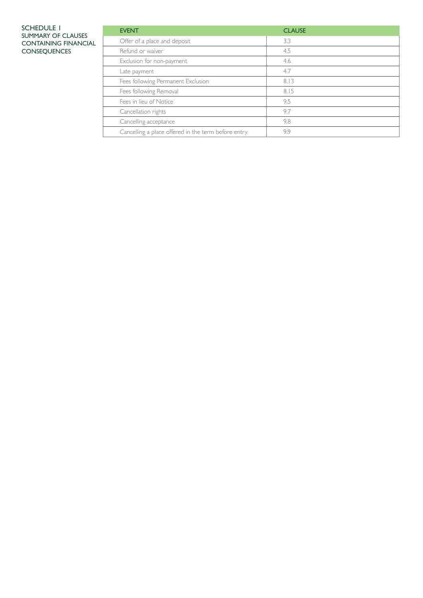#### SCHEDULE 1 SUMMARY OF CLAUSES CONTAINING FINANCIAL CONSEQUENCES

| <b>EVENT</b>                                        | <b>CLAUSE</b> |
|-----------------------------------------------------|---------------|
| Offer of a place and deposit                        | 3.3           |
| Refund or waiver                                    | 4.5           |
| Exclusion for non-payment                           | 4.6           |
| Late payment                                        | 4.7           |
| Fees following Permanent Exclusion                  | 8.13          |
| Fees following Removal                              | 8.15          |
| Fees in lieu of Notice                              | 9.5           |
| Cancellation rights                                 | 9.7           |
| Cancelling acceptance                               | 9.8           |
| Cancelling a place offered in the term before entry | 9.9           |